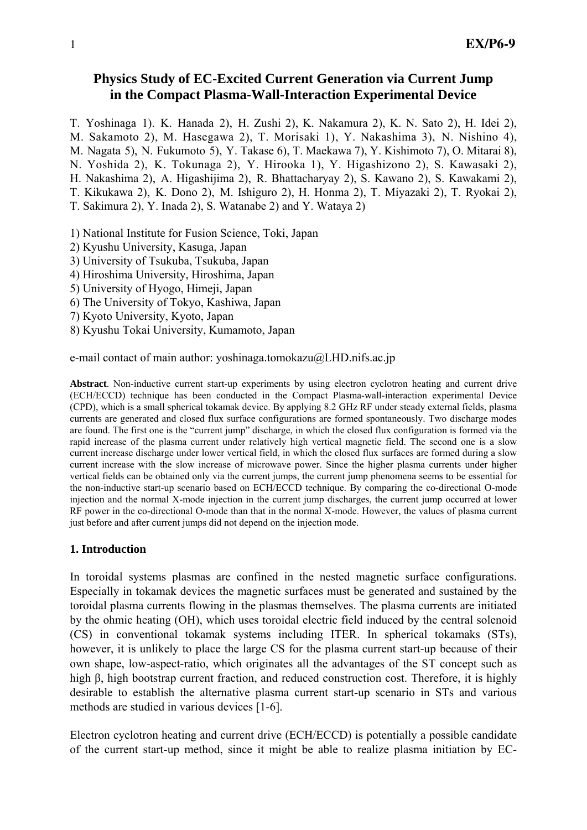# **Physics Study of EC-Excited Current Generation via Current Jump in the Compact Plasma-Wall-Interaction Experimental Device**

T. Yoshinaga 1). K. Hanada 2), H. Zushi 2), K. Nakamura 2), K. N. Sato 2), H. Idei 2), M. Sakamoto 2), M. Hasegawa 2), T. Morisaki 1), Y. Nakashima 3), N. Nishino 4), M. Nagata 5), N. Fukumoto 5), Y. Takase 6), T. Maekawa 7), Y. Kishimoto 7), O. Mitarai 8), N. Yoshida 2), K. Tokunaga 2), Y. Hirooka 1), Y. Higashizono 2), S. Kawasaki 2), H. Nakashima 2), A. Higashijima 2), R. Bhattacharyay 2), S. Kawano 2), S. Kawakami 2), T. Kikukawa 2), K. Dono 2), M. Ishiguro 2), H. Honma 2), T. Miyazaki 2), T. Ryokai 2), T. Sakimura 2), Y. Inada 2), S. Watanabe 2) and Y. Wataya 2) 1) National Institute for Fusion Science, Toki, Japan

- 2) Kyushu University, Kasuga, Japan
- 3) University of Tsukuba, Tsukuba, Japan
- 4) Hiroshima University, Hiroshima, Japan
- 5) University of Hyogo, Himeji, Japan
- 6) The University of Tokyo, Kashiwa, Japan
- 7) Kyoto University, Kyoto, Japan
- 8) Kyushu Tokai University, Kumamoto, Japan

e-mail contact of main author: yoshinaga.tomokazu@LHD.nifs.ac.jp

**Abstract**. Non-inductive current start-up experiments by using electron cyclotron heating and current drive (ECH/ECCD) technique has been conducted in the Compact Plasma-wall-interaction experimental Device (CPD), which is a small spherical tokamak device. By applying 8.2 GHz RF under steady external fields, plasma currents are generated and closed flux surface configurations are formed spontaneously. Two discharge modes are found. The first one is the "current jump" discharge, in which the closed flux configuration is formed via the rapid increase of the plasma current under relatively high vertical magnetic field. The second one is a slow current increase discharge under lower vertical field, in which the closed flux surfaces are formed during a slow current increase with the slow increase of microwave power. Since the higher plasma currents under higher vertical fields can be obtained only via the current jumps, the current jump phenomena seems to be essential for the non-inductive start-up scenario based on ECH/ECCD technique. By comparing the co-directional O-mode injection and the normal X-mode injection in the current jump discharges, the current jump occurred at lower RF power in the co-directional O-mode than that in the normal X-mode. However, the values of plasma current just before and after current jumps did not depend on the injection mode.

## **1. Introduction**

In toroidal systems plasmas are confined in the nested magnetic surface configurations. Especially in tokamak devices the magnetic surfaces must be generated and sustained by the toroidal plasma currents flowing in the plasmas themselves. The plasma currents are initiated by the ohmic heating (OH), which uses toroidal electric field induced by the central solenoid (CS) in conventional tokamak systems including ITER. In spherical tokamaks (STs), however, it is unlikely to place the large CS for the plasma current start-up because of their own shape, low-aspect-ratio, which originates all the advantages of the ST concept such as high β, high bootstrap current fraction, and reduced construction cost. Therefore, it is highly desirable to establish the alternative plasma current start-up scenario in STs and various methods are studied in various devices [1-6].

Electron cyclotron heating and current drive (ECH/ECCD) is potentially a possible candidate of the current start-up method, since it might be able to realize plasma initiation by EC-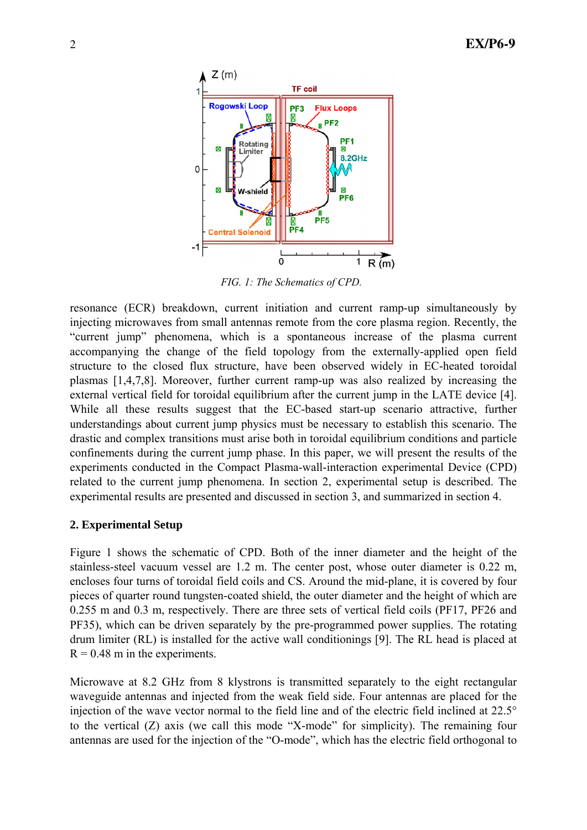

*FIG. 1: The Schematics of CPD.*

resonance (ECR) breakdown, current initiation and current ramp-up simultaneously by injecting microwaves from small antennas remote from the core plasma region. Recently, the "current jump" phenomena, which is a spontaneous increase of the plasma current accompanying the change of the field topology from the externally-applied open field structure to the closed flux structure, have been observed widely in EC-heated toroidal plasmas [1,4,7,8]. Moreover, further current ramp-up was also realized by increasing the external vertical field for toroidal equilibrium after the current jump in the LATE device [4]. While all these results suggest that the EC-based start-up scenario attractive, further understandings about current jump physics must be necessary to establish this scenario. The drastic and complex transitions must arise both in toroidal equilibrium conditions and particle confinements during the current jump phase. In this paper, we will present the results of the experiments conducted in the Compact Plasma-wall-interaction experimental Device (CPD) related to the current jump phenomena. In section 2, experimental setup is described. The experimental results are presented and discussed in section 3, and summarized in section 4.

## **2. Experimental Setup**

Figure 1 shows the schematic of CPD. Both of the inner diameter and the height of the stainless-steel vacuum vessel are 1.2 m. The center post, whose outer diameter is 0.22 m, encloses four turns of toroidal field coils and CS. Around the mid-plane, it is covered by four pieces of quarter round tungsten-coated shield, the outer diameter and the height of which are 0.255 m and 0.3 m, respectively. There are three sets of vertical field coils (PF17, PF26 and PF35), which can be driven separately by the pre-programmed power supplies. The rotating drum limiter (RL) is installed for the active wall conditionings [9]. The RL head is placed at  $R = 0.48$  m in the experiments.

Microwave at 8.2 GHz from 8 klystrons is transmitted separately to the eight rectangular waveguide antennas and injected from the weak field side. Four antennas are placed for the injection of the wave vector normal to the field line and of the electric field inclined at 22.5° to the vertical (Z) axis (we call this mode "X-mode" for simplicity). The remaining four antennas are used for the injection of the "O-mode", which has the electric field orthogonal to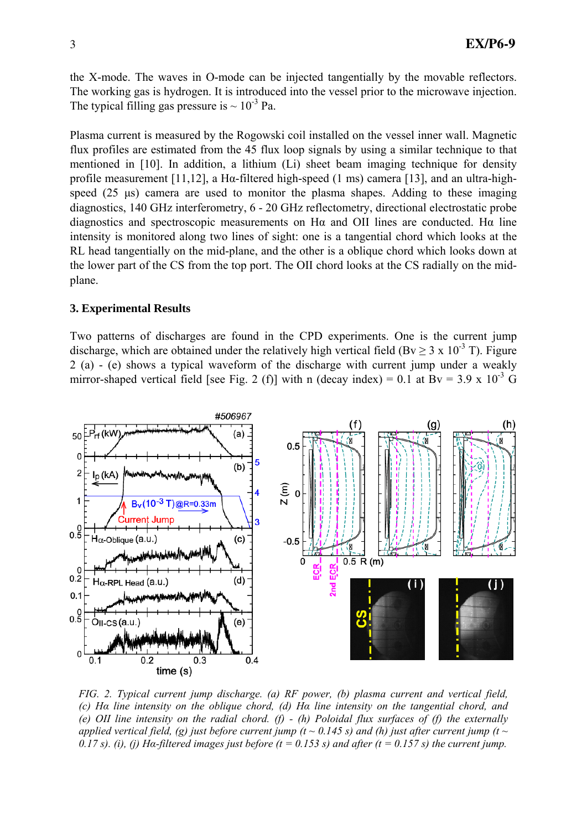the X-mode. The waves in O-mode can be injected tangentially by the movable reflectors. The working gas is hydrogen. It is introduced into the vessel prior to the microwave injection. The typical filling gas pressure is  $\sim 10^{-3}$  Pa.

Plasma current is measured by the Rogowski coil installed on the vessel inner wall. Magnetic flux profiles are estimated from the 45 flux loop signals by using a similar technique to that mentioned in [10]. In addition, a lithium (Li) sheet beam imaging technique for density profile measurement [11,12], a Hα-filtered high-speed (1 ms) camera [13], and an ultra-highspeed (25 μs) camera are used to monitor the plasma shapes. Adding to these imaging diagnostics, 140 GHz interferometry, 6 - 20 GHz reflectometry, directional electrostatic probe diagnostics and spectroscopic measurements on Hα and OII lines are conducted. Hα line intensity is monitored along two lines of sight: one is a tangential chord which looks at the RL head tangentially on the mid-plane, and the other is a oblique chord which looks down at the lower part of the CS from the top port. The OII chord looks at the CS radially on the midplane.

#### **3. Experimental Results**

Two patterns of discharges are found in the CPD experiments. One is the current jump discharge, which are obtained under the relatively high vertical field (Bv  $\geq$  3 x 10<sup>-3</sup> T). Figure 2 (a) - (e) shows a typical waveform of the discharge with current jump under a weakly mirror-shaped vertical field [see Fig. 2 (f)] with n (decay index) = 0.1 at  $Bv = 3.9 \times 10^{-3}$  G



*FIG. 2. Typical current jump discharge. (a) RF power, (b) plasma current and vertical field, (c) Hα line intensity on the oblique chord, (d) Hα line intensity on the tangential chord, and (e) OII line intensity on the radial chord. (f) - (h) Poloidal flux surfaces of (f) the externally applied vertical field, (g) just before current jump (t ~ 0.145 s) and (h) just after current jump (t ~ 0.17 s). (i), (j) Ha-filtered images just before (t = 0.153 s) and after (t = 0.157 s) the current jump.*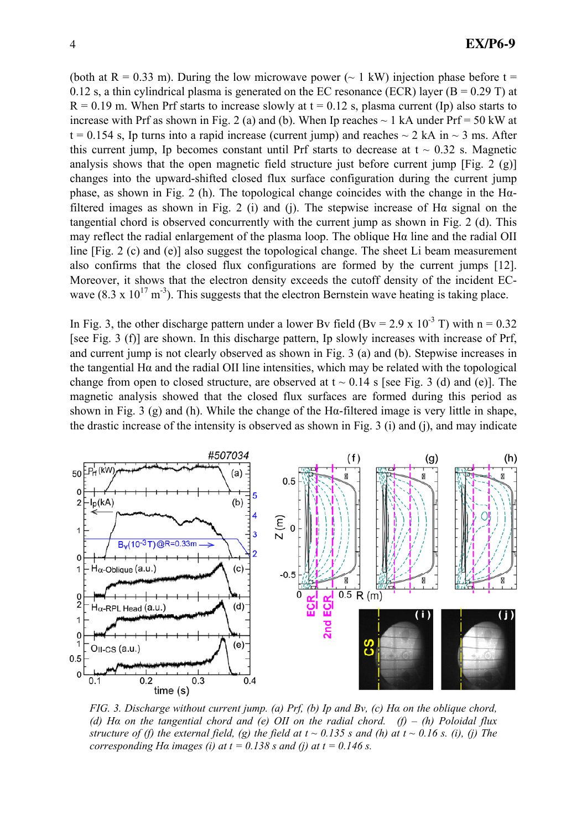(both at R = 0.33 m). During the low microwave power ( $\sim$  1 kW) injection phase before t = 0.12 s, a thin cylindrical plasma is generated on the EC resonance (ECR) layer ( $B = 0.29$  T) at  $R = 0.19$  m. When Prf starts to increase slowly at  $t = 0.12$  s, plasma current (Ip) also starts to increase with Prf as shown in Fig. 2 (a) and (b). When Ip reaches  $\sim$  1 kA under Prf = 50 kW at  $t = 0.154$  s, Ip turns into a rapid increase (current jump) and reaches  $\sim 2$  kA in  $\sim 3$  ms. After this current jump, Ip becomes constant until Prf starts to decrease at  $t \sim 0.32$  s. Magnetic analysis shows that the open magnetic field structure just before current jump [Fig. 2 (g)] changes into the upward-shifted closed flux surface configuration during the current jump phase, as shown in Fig. 2 (h). The topological change coincides with the change in the Hαfiltered images as shown in Fig. 2 (i) and (j). The stepwise increase of H $\alpha$  signal on the tangential chord is observed concurrently with the current jump as shown in Fig. 2 (d). This may reflect the radial enlargement of the plasma loop. The oblique Hα line and the radial OII line [Fig. 2 (c) and (e)] also suggest the topological change. The sheet Li beam measurement also confirms that the closed flux configurations are formed by the current jumps [12]. Moreover, it shows that the electron density exceeds the cutoff density of the incident ECwave (8.3 x  $10^{17}$  m<sup>-3</sup>). This suggests that the electron Bernstein wave heating is taking place.

In Fig. 3, the other discharge pattern under a lower Bv field (Bv = 2.9 x 10<sup>-3</sup> T) with n = 0.32 [see Fig. 3 (f)] are shown. In this discharge pattern, Ip slowly increases with increase of Prf, and current jump is not clearly observed as shown in Fig. 3 (a) and (b). Stepwise increases in the tangential Hα and the radial OII line intensities, which may be related with the topological change from open to closed structure, are observed at  $t \sim 0.14$  s [see Fig. 3 (d) and (e)]. The magnetic analysis showed that the closed flux surfaces are formed during this period as shown in Fig. 3 (g) and (h). While the change of the H $\alpha$ -filtered image is very little in shape, the drastic increase of the intensity is observed as shown in Fig. 3 (i) and (j), and may indicate



*FIG. 3. Discharge without current jump. (a) Prf, (b) Ip and Bv, (c) Hα on the oblique chord, (d) Hα on the tangential chord and (e) OII on the radial chord. (f) – (h) Poloidal flux structure of (f) the external field, (g) the field at*  $t \sim 0.135$  *s and (h) at*  $t \sim 0.16$  *s. (i), (j) The corresponding H* $\alpha$  *images (i) at t = 0.138 s and (j) at t = 0.146 s.*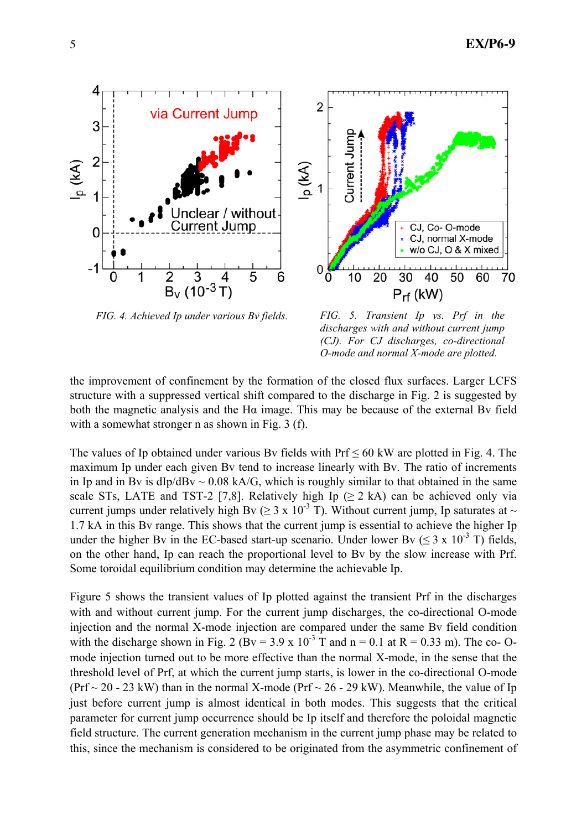

*FIG. 4. Achieved Ip under various Bv fields. FIG. 5. Transient Ip vs. Prf in the* 

*discharges with and without current jump (CJ). For CJ discharges, co-directional O-mode and normal X-mode are plotted.* 

 $P_{rf}$  (kW)

30

40

CJ, Co-O-mode

CJ, normal X-mode w/o CJ, O & X mixed

50

60

70

the improvement of confinement by the formation of the closed flux surfaces. Larger LCFS structure with a suppressed vertical shift compared to the discharge in Fig. 2 is suggested by both the magnetic analysis and the Hα image. This may be because of the external Bv field with a somewhat stronger n as shown in Fig. 3 (f).

 $\overline{2}$ 

0

 $p(kA)$ 

Current Jump

 $\overline{10}$ 

 $\overline{20}$ 

The values of Ip obtained under various By fields with  $Prf \le 60$  kW are plotted in Fig. 4. The maximum Ip under each given Bv tend to increase linearly with Bv. The ratio of increments in Ip and in By is  $dD/dBv \sim 0.08$  kA/G, which is roughly similar to that obtained in the same scale STs, LATE and TST-2 [7,8]. Relatively high Ip  $(≥ 2 kA)$  can be achieved only via current jumps under relatively high Bv ( $\geq 3 \times 10^{-3}$  T). Without current jump, Ip saturates at  $\sim$ 1.7 kA in this Bv range. This shows that the current jump is essential to achieve the higher Ip under the higher By in the EC-based start-up scenario. Under lower By ( $\leq 3 \times 10^{-3}$  T) fields, on the other hand, Ip can reach the proportional level to Bv by the slow increase with Prf. Some toroidal equilibrium condition may determine the achievable Ip.

Figure 5 shows the transient values of Ip plotted against the transient Prf in the discharges with and without current jump. For the current jump discharges, the co-directional O-mode injection and the normal X-mode injection are compared under the same Bv field condition with the discharge shown in Fig. 2 (Bv = 3.9 x  $10^{-3}$  T and n = 0.1 at R = 0.33 m). The co- Omode injection turned out to be more effective than the normal X-mode, in the sense that the threshold level of Prf, at which the current jump starts, is lower in the co-directional O-mode (Prf  $\sim$  20 - 23 kW) than in the normal X-mode (Prf  $\sim$  26 - 29 kW). Meanwhile, the value of Ip just before current jump is almost identical in both modes. This suggests that the critical parameter for current jump occurrence should be Ip itself and therefore the poloidal magnetic field structure. The current generation mechanism in the current jump phase may be related to this, since the mechanism is considered to be originated from the asymmetric confinement of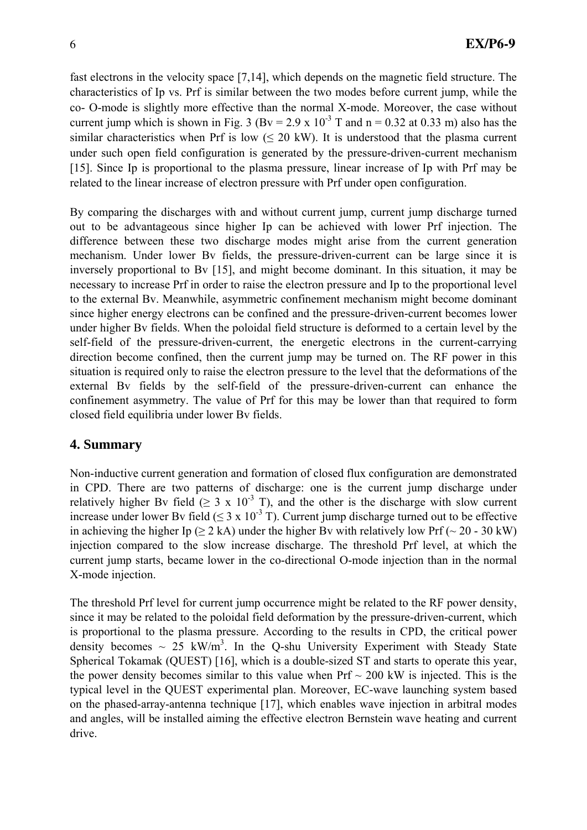fast electrons in the velocity space [7,14], which depends on the magnetic field structure. The characteristics of Ip vs. Prf is similar between the two modes before current jump, while the co- O-mode is slightly more effective than the normal X-mode. Moreover, the case without current jump which is shown in Fig. 3 (Bv = 2.9 x 10<sup>-3</sup> T and n = 0.32 at 0.33 m) also has the similar characteristics when Prf is low  $(\leq 20 \text{ kW})$ . It is understood that the plasma current under such open field configuration is generated by the pressure-driven-current mechanism [15]. Since Ip is proportional to the plasma pressure, linear increase of Ip with Prf may be related to the linear increase of electron pressure with Prf under open configuration.

By comparing the discharges with and without current jump, current jump discharge turned out to be advantageous since higher Ip can be achieved with lower Prf injection. The difference between these two discharge modes might arise from the current generation mechanism. Under lower Bv fields, the pressure-driven-current can be large since it is inversely proportional to Bv [15], and might become dominant. In this situation, it may be necessary to increase Prf in order to raise the electron pressure and Ip to the proportional level to the external Bv. Meanwhile, asymmetric confinement mechanism might become dominant since higher energy electrons can be confined and the pressure-driven-current becomes lower under higher Bv fields. When the poloidal field structure is deformed to a certain level by the self-field of the pressure-driven-current, the energetic electrons in the current-carrying direction become confined, then the current jump may be turned on. The RF power in this situation is required only to raise the electron pressure to the level that the deformations of the external Bv fields by the self-field of the pressure-driven-current can enhance the confinement asymmetry. The value of Prf for this may be lower than that required to form closed field equilibria under lower Bv fields.

# **4. Summary**

Non-inductive current generation and formation of closed flux configuration are demonstrated in CPD. There are two patterns of discharge: one is the current jump discharge under relatively higher By field ( $\geq 3 \times 10^{-3}$  T), and the other is the discharge with slow current increase under lower By field ( $\leq 3 \times 10^{-3}$  T). Current jump discharge turned out to be effective in achieving the higher Ip ( $> 2$  kA) under the higher By with relatively low Prf ( $\sim 20$  - 30 kW) injection compared to the slow increase discharge. The threshold Prf level, at which the current jump starts, became lower in the co-directional O-mode injection than in the normal X-mode injection.

The threshold Prf level for current jump occurrence might be related to the RF power density, since it may be related to the poloidal field deformation by the pressure-driven-current, which is proportional to the plasma pressure. According to the results in CPD, the critical power density becomes  $\sim 25$  kW/m<sup>3</sup>. In the Q-shu University Experiment with Steady State Spherical Tokamak (QUEST) [16], which is a double-sized ST and starts to operate this year, the power density becomes similar to this value when  $Prf \sim 200$  kW is injected. This is the typical level in the QUEST experimental plan. Moreover, EC-wave launching system based on the phased-array-antenna technique [17], which enables wave injection in arbitral modes and angles, will be installed aiming the effective electron Bernstein wave heating and current drive.